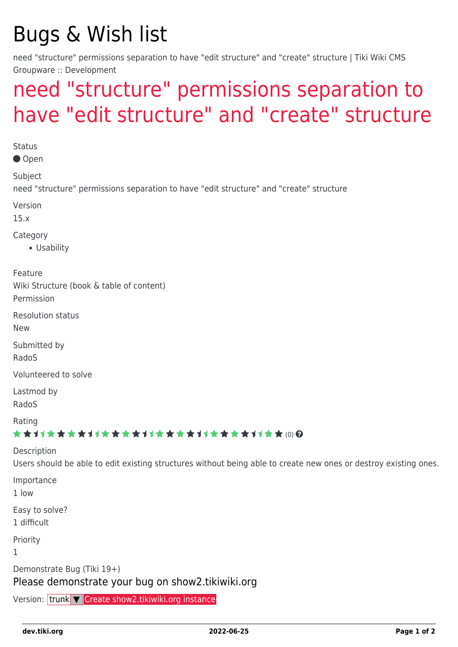## Bugs & Wish list

need "structure" permissions separation to have "edit structure" and "create" structure | Tiki Wiki CMS Groupware :: Development

## [need "structure" permissions separation to](https://dev.tiki.org/item6217-need-structure-permissions-separation-to-have-edit-structure-and-create-structure) [have "edit structure" and "create" structure](https://dev.tiki.org/item6217-need-structure-permissions-separation-to-have-edit-structure-and-create-structure)

**Status** ● Open Subject need "structure" permissions separation to have "edit structure" and "create" structure Version 15.x Category Usability Feature Wiki Structure (book & table of content) Permission Resolution status New Submitted by RadoS Volunteered to solve Lastmod by RadoS Rating ★★11★★★★11★★★★11★★★★11★★★★11★★ @@ Description Users should be able to edit existing structures without being able to create new ones or destroy existing ones. Importance 1 low Easy to solve? 1 difficult Priority 1 Demonstrate Bug (Tiki 19+) Please demonstrate your bug on show2.tikiwiki.org Version: trunk ▼ [Create show2.tikiwiki.org instance](#page--1-0)